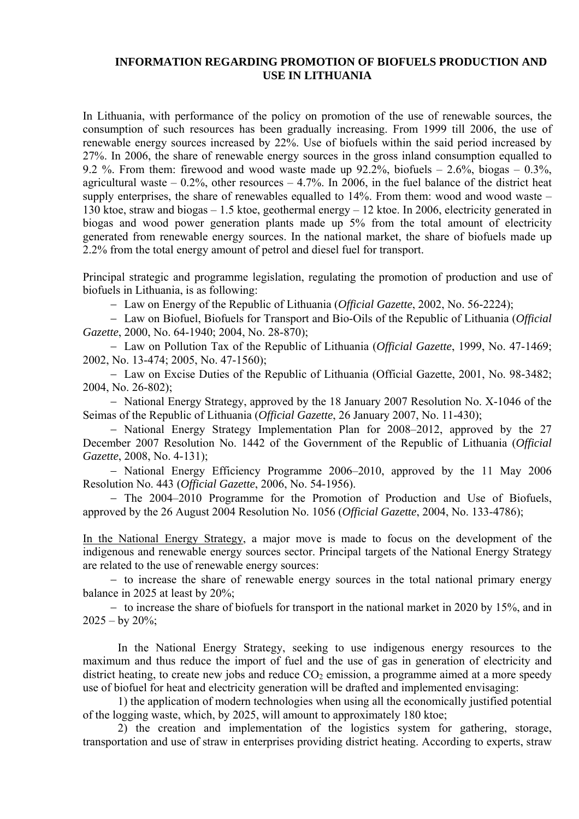## **INFORMATION REGARDING PROMOTION OF BIOFUELS PRODUCTION AND USE IN LITHUANIA**

In Lithuania, with performance of the policy on promotion of the use of renewable sources, the consumption of such resources has been gradually increasing. From 1999 till 2006, the use of renewable energy sources increased by 22%. Use of biofuels within the said period increased by 27%. In 2006, the share of renewable energy sources in the gross inland consumption equalled to 9.2 %. From them: firewood and wood waste made up  $92.2\%$ , biofuels  $-2.6\%$ , biogas  $-0.3\%$ , agricultural waste  $-0.2\%$ , other resources  $-4.7\%$ . In 2006, in the fuel balance of the district heat supply enterprises, the share of renewables equalled to  $14\%$ . From them: wood and wood waste – 130 ktoe, straw and biogas – 1.5 ktoe, geothermal energy – 12 ktoe. In 2006, electricity generated in biogas and wood power generation plants made up 5% from the total amount of electricity generated from renewable energy sources. In the national market, the share of biofuels made up 2.2% from the total energy amount of petrol and diesel fuel for transport.

Principal strategic and programme legislation, regulating the promotion of production and use of biofuels in Lithuania, is as following:

− Law on Energy of the Republic of Lithuania (*Official Gazette*, 2002, No. 56-2224);

− Law on Biofuel, Biofuels for Transport and Bio-Oils of the Republic of Lithuania (*Official Gazette*, 2000, No. 64-1940; 2004, No. 28-870);

− Law on Pollution Tax of the Republic of Lithuania (*Official Gazette*, 1999, No. 47-1469; 2002, No. 13-474; 2005, No. 47-1560);

− Law on Excise Duties of the Republic of Lithuania (Official Gazette, 2001, No. 98-3482; 2004, No. 26-802);

− National Energy Strategy, approved by the 18 January 2007 Resolution No. X-1046 of the Seimas of the Republic of Lithuania (*Official Gazette*, 26 January 2007, No. 11-430);

− National Energy Strategy Implementation Plan for 2008–2012, approved by the 27 December 2007 Resolution No. 1442 of the Government of the Republic of Lithuania (*Official Gazette*, 2008, No. 4-131);

− National Energy Efficiency Programme 2006–2010, approved by the 11 May 2006 Resolution No. 443 (*Official Gazette*, 2006, No. 54-1956).

− The 2004–2010 Programme for the Promotion of Production and Use of Biofuels, approved by the 26 August 2004 Resolution No. 1056 (*Official Gazette*, 2004, No. 133-4786);

In the National Energy Strategy, a major move is made to focus on the development of the indigenous and renewable energy sources sector. Principal targets of the National Energy Strategy are related to the use of renewable energy sources:

− to increase the share of renewable energy sources in the total national primary energy balance in 2025 at least by 20%;

− to increase the share of biofuels for transport in the national market in 2020 by 15%, and in  $2025 - by 20\%$ ;

In the National Energy Strategy, seeking to use indigenous energy resources to the maximum and thus reduce the import of fuel and the use of gas in generation of electricity and district heating, to create new jobs and reduce  $CO<sub>2</sub>$  emission, a programme aimed at a more speedy use of biofuel for heat and electricity generation will be drafted and implemented envisaging:

1) the application of modern technologies when using all the economically justified potential of the logging waste, which, by 2025, will amount to approximately 180 ktoe;

2) the creation and implementation of the logistics system for gathering, storage, transportation and use of straw in enterprises providing district heating. According to experts, straw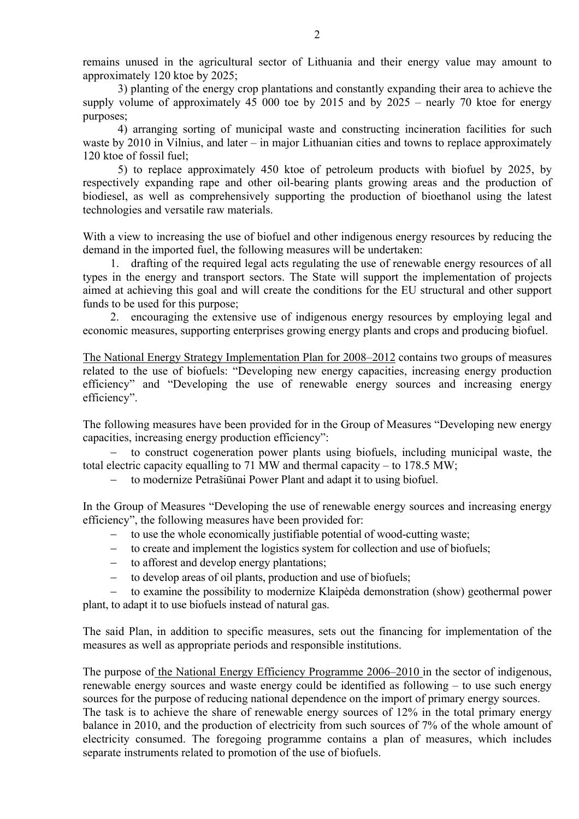remains unused in the agricultural sector of Lithuania and their energy value may amount to approximately 120 ktoe by 2025;

3) planting of the energy crop plantations and constantly expanding their area to achieve the supply volume of approximately 45 000 toe by 2015 and by 2025 – nearly 70 ktoe for energy purposes;

4) arranging sorting of municipal waste and constructing incineration facilities for such waste by 2010 in Vilnius, and later – in major Lithuanian cities and towns to replace approximately 120 ktoe of fossil fuel;

5) to replace approximately 450 ktoe of petroleum products with biofuel by 2025, by respectively expanding rape and other oil-bearing plants growing areas and the production of biodiesel, as well as comprehensively supporting the production of bioethanol using the latest technologies and versatile raw materials.

With a view to increasing the use of biofuel and other indigenous energy resources by reducing the demand in the imported fuel, the following measures will be undertaken:

1. drafting of the required legal acts regulating the use of renewable energy resources of all types in the energy and transport sectors. The State will support the implementation of projects aimed at achieving this goal and will create the conditions for the EU structural and other support funds to be used for this purpose;

2. encouraging the extensive use of indigenous energy resources by employing legal and economic measures, supporting enterprises growing energy plants and crops and producing biofuel.

The National Energy Strategy Implementation Plan for 2008–2012 contains two groups of measures related to the use of biofuels: "Developing new energy capacities, increasing energy production efficiency" and "Developing the use of renewable energy sources and increasing energy efficiency".

The following measures have been provided for in the Group of Measures "Developing new energy capacities, increasing energy production efficiency":

to construct cogeneration power plants using biofuels, including municipal waste, the total electric capacity equalling to 71 MW and thermal capacity – to 178.5 MW;

to modernize Petrašiūnai Power Plant and adapt it to using biofuel.

In the Group of Measures "Developing the use of renewable energy sources and increasing energy efficiency", the following measures have been provided for:

- to use the whole economically justifiable potential of wood-cutting waste;
- − to create and implement the logistics system for collection and use of biofuels;
- − to afforest and develop energy plantations;
- − to develop areas of oil plants, production and use of biofuels;

− to examine the possibility to modernize Klaipėda demonstration (show) geothermal power plant, to adapt it to use biofuels instead of natural gas.

The said Plan, in addition to specific measures, sets out the financing for implementation of the measures as well as appropriate periods and responsible institutions.

The purpose of the National Energy Efficiency Programme 2006–2010 in the sector of indigenous, renewable energy sources and waste energy could be identified as following – to use such energy sources for the purpose of reducing national dependence on the import of primary energy sources. The task is to achieve the share of renewable energy sources of 12% in the total primary energy balance in 2010, and the production of electricity from such sources of 7% of the whole amount of electricity consumed. The foregoing programme contains a plan of measures, which includes separate instruments related to promotion of the use of biofuels.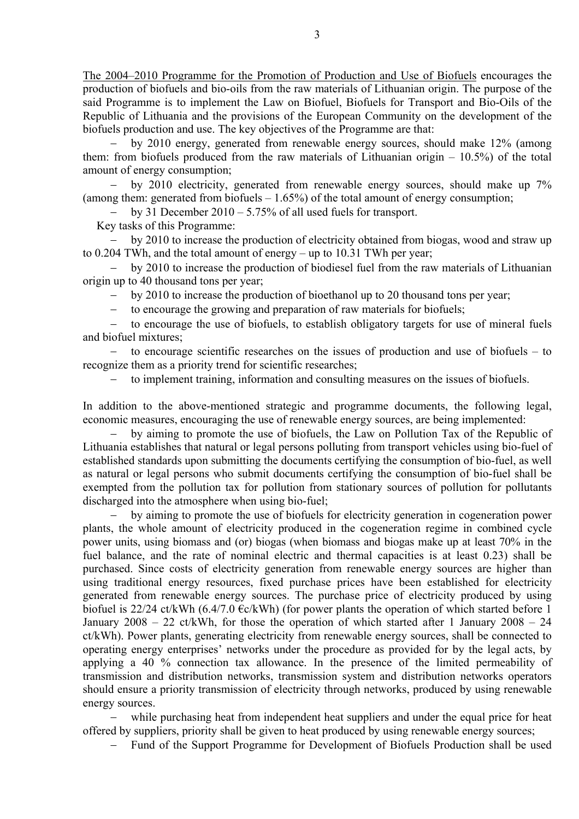The 2004–2010 Programme for the Promotion of Production and Use of Biofuels encourages the production of biofuels and bio-oils from the raw materials of Lithuanian origin. The purpose of the said Programme is to implement the Law on Biofuel, Biofuels for Transport and Bio-Oils of the Republic of Lithuania and the provisions of the European Community on the development of the biofuels production and use. The key objectives of the Programme are that:

by 2010 energy, generated from renewable energy sources, should make 12% (among them: from biofuels produced from the raw materials of Lithuanian origin  $-10.5\%$ ) of the total amount of energy consumption;

− by 2010 electricity, generated from renewable energy sources, should make up 7% (among them: generated from biofuels  $-1.65\%$ ) of the total amount of energy consumption;

− by 31 December 2010 – 5.75% of all used fuels for transport.

Key tasks of this Programme:

by 2010 to increase the production of electricity obtained from biogas, wood and straw up to 0.204 TWh, and the total amount of energy – up to 10.31 TWh per year;

by 2010 to increase the production of biodiesel fuel from the raw materials of Lithuanian origin up to 40 thousand tons per year;

by 2010 to increase the production of bioethanol up to 20 thousand tons per year;

to encourage the growing and preparation of raw materials for biofuels;

− to encourage the use of biofuels, to establish obligatory targets for use of mineral fuels and biofuel mixtures;

− to encourage scientific researches on the issues of production and use of biofuels – to recognize them as a priority trend for scientific researches;

to implement training, information and consulting measures on the issues of biofuels.

In addition to the above-mentioned strategic and programme documents, the following legal, economic measures, encouraging the use of renewable energy sources, are being implemented:

by aiming to promote the use of biofuels, the Law on Pollution Tax of the Republic of Lithuania establishes that natural or legal persons polluting from transport vehicles using bio-fuel of established standards upon submitting the documents certifying the consumption of bio-fuel, as well as natural or legal persons who submit documents certifying the consumption of bio-fuel shall be exempted from the pollution tax for pollution from stationary sources of pollution for pollutants discharged into the atmosphere when using bio-fuel;

− by aiming to promote the use of biofuels for electricity generation in cogeneration power plants, the whole amount of electricity produced in the cogeneration regime in combined cycle power units, using biomass and (or) biogas (when biomass and biogas make up at least 70% in the fuel balance, and the rate of nominal electric and thermal capacities is at least 0.23) shall be purchased. Since costs of electricity generation from renewable energy sources are higher than using traditional energy resources, fixed purchase prices have been established for electricity generated from renewable energy sources. The purchase price of electricity produced by using biofuel is 22/24 ct/kWh (6.4/7.0  $\epsilon$ c/kWh) (for power plants the operation of which started before 1 January  $2008 - 22$  ct/kWh, for those the operation of which started after 1 January  $2008 - 24$ ct/kWh). Power plants, generating electricity from renewable energy sources, shall be connected to operating energy enterprises' networks under the procedure as provided for by the legal acts, by applying a 40 % connection tax allowance. In the presence of the limited permeability of transmission and distribution networks, transmission system and distribution networks operators should ensure a priority transmission of electricity through networks, produced by using renewable energy sources.

while purchasing heat from independent heat suppliers and under the equal price for heat offered by suppliers, priority shall be given to heat produced by using renewable energy sources;

− Fund of the Support Programme for Development of Biofuels Production shall be used